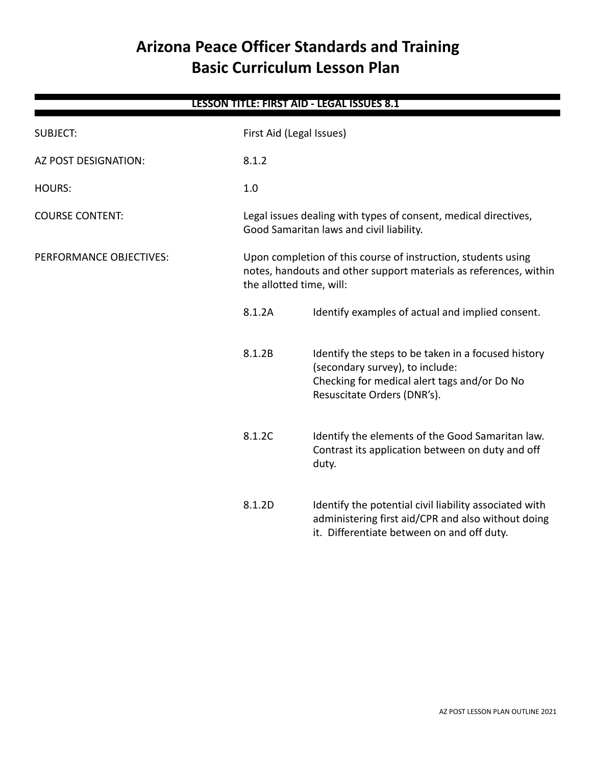# **Arizona Peace Officer Standards and Training Basic Curriculum Lesson Plan**

| <b>LESSON TITLE: FIRST AID - LEGAL ISSUES 8.1</b> |        |                                                                                                                                                                       |  |
|---------------------------------------------------|--------|-----------------------------------------------------------------------------------------------------------------------------------------------------------------------|--|
| <b>SUBJECT:</b>                                   |        | First Aid (Legal Issues)                                                                                                                                              |  |
| AZ POST DESIGNATION:                              | 8.1.2  |                                                                                                                                                                       |  |
| <b>HOURS:</b>                                     | 1.0    |                                                                                                                                                                       |  |
| <b>COURSE CONTENT:</b>                            |        | Legal issues dealing with types of consent, medical directives,<br>Good Samaritan laws and civil liability.                                                           |  |
| PERFORMANCE OBJECTIVES:                           |        | Upon completion of this course of instruction, students using<br>notes, handouts and other support materials as references, within<br>the allotted time, will:        |  |
|                                                   | 8.1.2A | Identify examples of actual and implied consent.                                                                                                                      |  |
|                                                   | 8.1.2B | Identify the steps to be taken in a focused history<br>(secondary survey), to include:<br>Checking for medical alert tags and/or Do No<br>Resuscitate Orders (DNR's). |  |
|                                                   | 8.1.2C | Identify the elements of the Good Samaritan law.<br>Contrast its application between on duty and off<br>duty.                                                         |  |
|                                                   | 8.1.2D | Identify the potential civil liability associated with<br>administering first aid/CPR and also without doing<br>it. Differentiate between on and off duty.            |  |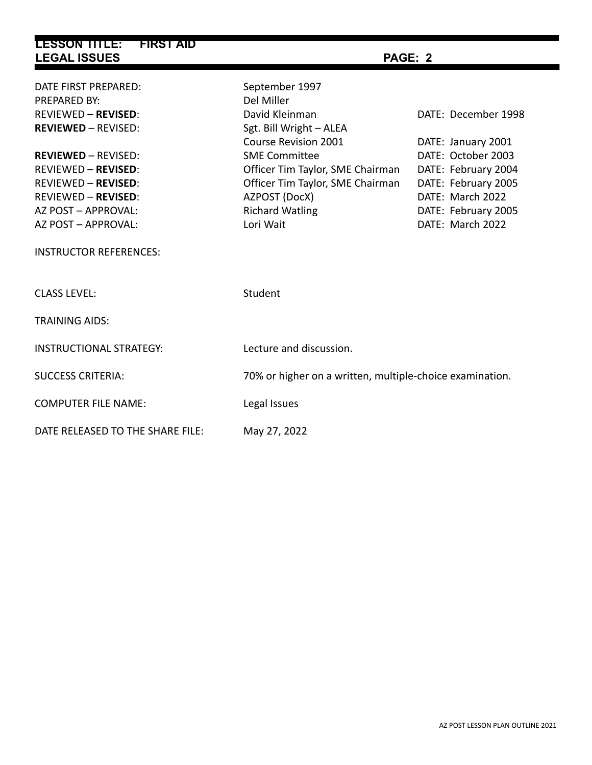| <b>LESSON TITLE:</b><br><b>FIRST AID</b><br><b>LEGAL ISSUES</b> | PAGE: 2                                                  |                     |  |
|-----------------------------------------------------------------|----------------------------------------------------------|---------------------|--|
| DATE FIRST PREPARED:                                            | September 1997                                           |                     |  |
| PREPARED BY:                                                    | Del Miller                                               |                     |  |
| <b>REVIEWED - REVISED:</b>                                      | David Kleinman                                           | DATE: December 1998 |  |
| <b>REVIEWED - REVISED:</b>                                      | Sgt. Bill Wright - ALEA                                  |                     |  |
|                                                                 | Course Revision 2001                                     | DATE: January 2001  |  |
| <b>REVIEWED - REVISED:</b>                                      | <b>SME Committee</b>                                     | DATE: October 2003  |  |
| <b>REVIEWED - REVISED:</b>                                      | Officer Tim Taylor, SME Chairman                         | DATE: February 2004 |  |
| <b>REVIEWED - REVISED:</b>                                      | Officer Tim Taylor, SME Chairman                         | DATE: February 2005 |  |
| <b>REVIEWED - REVISED:</b>                                      | AZPOST (DocX)                                            | DATE: March 2022    |  |
| AZ POST - APPROVAL:                                             | <b>Richard Watling</b>                                   | DATE: February 2005 |  |
| AZ POST - APPROVAL:                                             | Lori Wait                                                | DATE: March 2022    |  |
| <b>INSTRUCTOR REFERENCES:</b>                                   |                                                          |                     |  |
| <b>CLASS LEVEL:</b>                                             | Student                                                  |                     |  |
| <b>TRAINING AIDS:</b>                                           |                                                          |                     |  |
| <b>INSTRUCTIONAL STRATEGY:</b>                                  | Lecture and discussion.                                  |                     |  |
| <b>SUCCESS CRITERIA:</b>                                        | 70% or higher on a written, multiple-choice examination. |                     |  |
| <b>COMPUTER FILE NAME:</b>                                      | Legal Issues                                             |                     |  |
| DATE RELEASED TO THE SHARE FILE:                                | May 27, 2022                                             |                     |  |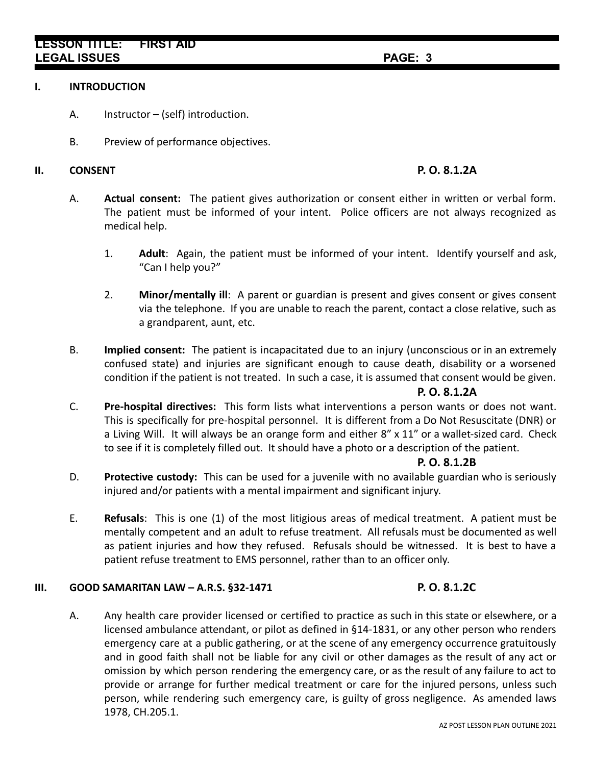## **LESSON TITLE: FIRST AID LEGAL ISSUES PAGE: 3**

#### **I. INTRODUCTION**

- A. Instructor (self) introduction.
- B. Preview of performance objectives.

### **II. CONSENT P. O. 8.1.2A**

- A. **Actual consent:** The patient gives authorization or consent either in written or verbal form. The patient must be informed of your intent. Police officers are not always recognized as medical help.
	- 1. **Adult**: Again, the patient must be informed of your intent. Identify yourself and ask, "Can I help you?"
	- 2. **Minor/mentally ill**: A parent or guardian is present and gives consent or gives consent via the telephone. If you are unable to reach the parent, contact a close relative, such as a grandparent, aunt, etc.
- B. **Implied consent:** The patient is incapacitated due to an injury (unconscious or in an extremely confused state) and injuries are significant enough to cause death, disability or a worsened condition if the patient is not treated. In such a case, it is assumed that consent would be given.

### **P. O. 8.1.2A**

C. **Pre-hospital directives:** This form lists what interventions a person wants or does not want. This is specifically for pre-hospital personnel. It is different from a Do Not Resuscitate (DNR) or a Living Will. It will always be an orange form and either 8" x 11" or a wallet-sized card. Check to see if it is completely filled out. It should have a photo or a description of the patient.

#### **P. O. 8.1.2B**

- D. **Protective custody:** This can be used for a juvenile with no available guardian who is seriously injured and/or patients with a mental impairment and significant injury.
- E. **Refusals**: This is one (1) of the most litigious areas of medical treatment. A patient must be mentally competent and an adult to refuse treatment. All refusals must be documented as well as patient injuries and how they refused. Refusals should be witnessed. It is best to have a patient refuse treatment to EMS personnel, rather than to an officer only.

#### **III. GOOD SAMARITAN LAW – A.R.S. §32-1471 P. O. 8.1.2C**

A. Any health care provider licensed or certified to practice as such in this state or elsewhere, or a licensed ambulance attendant, or pilot as defined in §14-1831, or any other person who renders emergency care at a public gathering, or at the scene of any emergency occurrence gratuitously and in good faith shall not be liable for any civil or other damages as the result of any act or omission by which person rendering the emergency care, or as the result of any failure to act to provide or arrange for further medical treatment or care for the injured persons, unless such person, while rendering such emergency care, is guilty of gross negligence. As amended laws 1978, CH.205.1.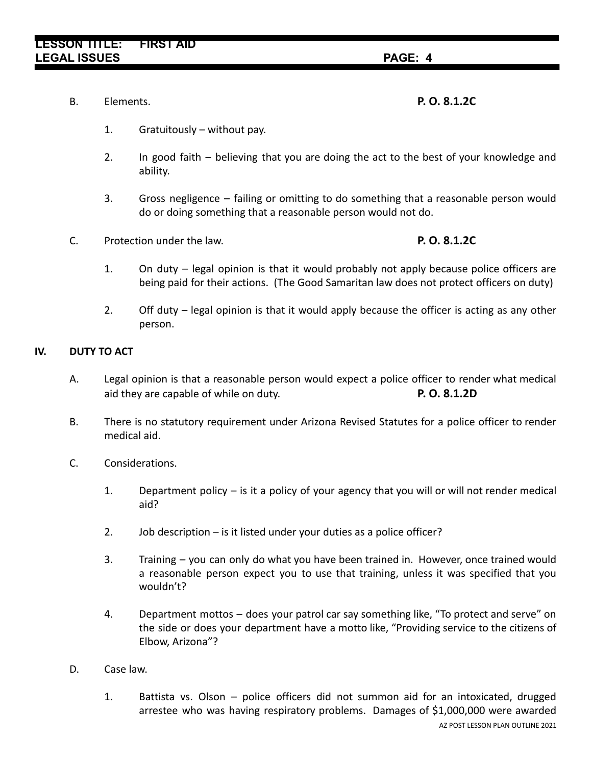B. Elements. **P. O. 8.1.2C**

- 1. Gratuitously without pay.
- 2. In good faith believing that you are doing the act to the best of your knowledge and ability.
- 3. Gross negligence failing or omitting to do something that a reasonable person would do or doing something that a reasonable person would not do.
- C. Protection under the law. **P. O. 8.1.2C**

- 1. On duty legal opinion is that it would probably not apply because police officers are being paid for their actions. (The Good Samaritan law does not protect officers on duty)
- 2. Off duty legal opinion is that it would apply because the officer is acting as any other person.

### **IV. DUTY TO ACT**

- A. Legal opinion is that a reasonable person would expect a police officer to render what medical aid they are capable of while on duty. **P. O. 8.1.2D**
- B. There is no statutory requirement under Arizona Revised Statutes for a police officer to render medical aid.
- C. Considerations.
	- 1. Department policy is it a policy of your agency that you will or will not render medical aid?
	- 2. Job description is it listed under your duties as a police officer?
	- 3. Training you can only do what you have been trained in. However, once trained would a reasonable person expect you to use that training, unless it was specified that you wouldn't?
	- 4. Department mottos does your patrol car say something like, "To protect and serve" on the side or does your department have a motto like, "Providing service to the citizens of Elbow, Arizona"?
- D. Case law.
	- 1. Battista vs. Olson police officers did not summon aid for an intoxicated, drugged arrestee who was having respiratory problems. Damages of \$1,000,000 were awarded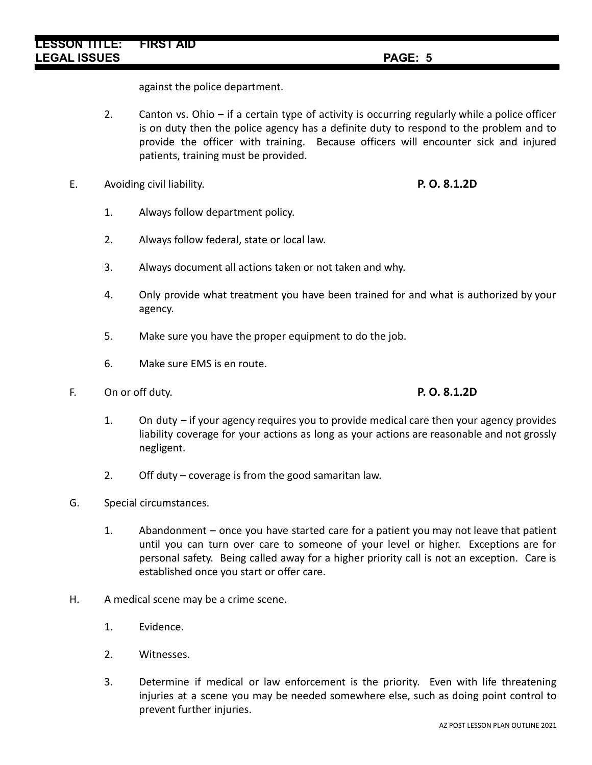against the police department.

- 2. Canton vs. Ohio if a certain type of activity is occurring regularly while a police officer is on duty then the police agency has a definite duty to respond to the problem and to provide the officer with training. Because officers will encounter sick and injured patients, training must be provided.
- E. Avoiding civil liability. **P. O. 8.1.2D**
	- 1. Always follow department policy.
	- 2. Always follow federal, state or local law.
	- 3. Always document all actions taken or not taken and why.
	- 4. Only provide what treatment you have been trained for and what is authorized by your agency.
	- 5. Make sure you have the proper equipment to do the job.
	- 6. Make sure EMS is en route.
- F. On or off duty. **P. O. 8.1.2D**

- 1. On duty if your agency requires you to provide medical care then your agency provides liability coverage for your actions as long as your actions are reasonable and not grossly negligent.
- 2. Off duty coverage is from the good samaritan law.
- G. Special circumstances.
	- 1. Abandonment once you have started care for a patient you may not leave that patient until you can turn over care to someone of your level or higher. Exceptions are for personal safety. Being called away for a higher priority call is not an exception. Care is established once you start or offer care.
- H. A medical scene may be a crime scene.
	- 1. Evidence.
	- 2. Witnesses.
	- 3. Determine if medical or law enforcement is the priority. Even with life threatening injuries at a scene you may be needed somewhere else, such as doing point control to prevent further injuries.